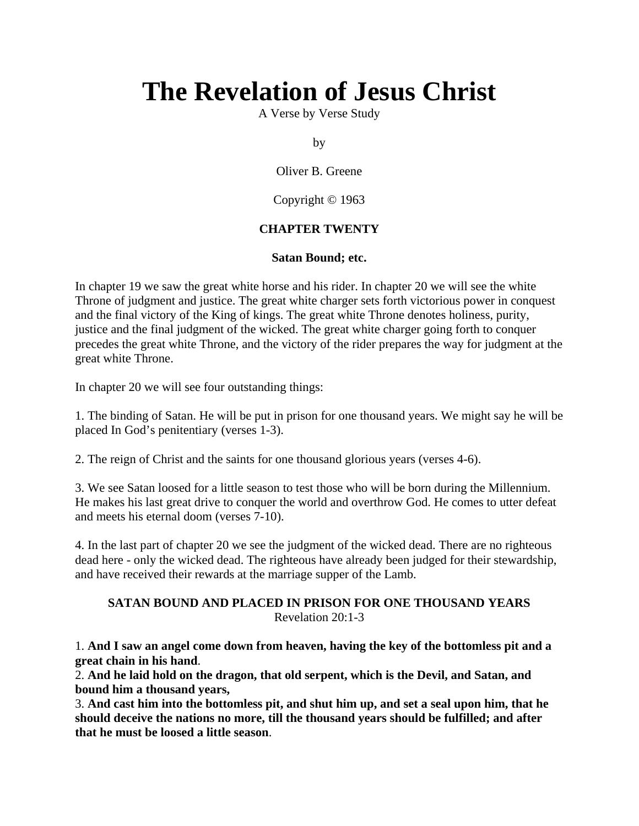# **The Revelation of Jesus Christ**

A Verse by Verse Study

by

Oliver B. Greene

Copyright © 1963

# **CHAPTER TWENTY**

## **Satan Bound; etc.**

In chapter 19 we saw the great white horse and his rider. In chapter 20 we will see the white Throne of judgment and justice. The great white charger sets forth victorious power in conquest and the final victory of the King of kings. The great white Throne denotes holiness, purity, justice and the final judgment of the wicked. The great white charger going forth to conquer precedes the great white Throne, and the victory of the rider prepares the way for judgment at the great white Throne.

In chapter 20 we will see four outstanding things:

1. The binding of Satan. He will be put in prison for one thousand years. We might say he will be placed In God's penitentiary (verses 1-3).

2. The reign of Christ and the saints for one thousand glorious years (verses 4-6).

3. We see Satan loosed for a little season to test those who will be born during the Millennium. He makes his last great drive to conquer the world and overthrow God. He comes to utter defeat and meets his eternal doom (verses 7-10).

4. In the last part of chapter 20 we see the judgment of the wicked dead. There are no righteous dead here - only the wicked dead. The righteous have already been judged for their stewardship, and have received their rewards at the marriage supper of the Lamb.

## **SATAN BOUND AND PLACED IN PRISON FOR ONE THOUSAND YEARS** Revelation 20:1-3

1. **And I saw an angel come down from heaven, having the key of the bottomless pit and a great chain in his hand**.

2. **And he laid hold on the dragon, that old serpent, which is the Devil, and Satan, and bound him a thousand years,**

3. **And cast him into the bottomless pit, and shut him up, and set a seal upon him, that he should deceive the nations no more, till the thousand years should be fulfilled; and after that he must be loosed a little season**.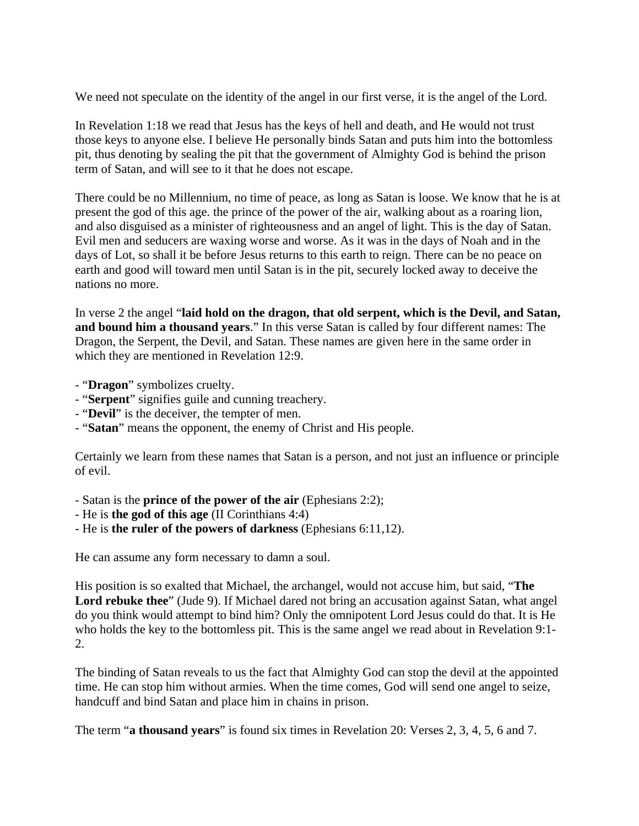We need not speculate on the identity of the angel in our first verse, it is the angel of the Lord.

In Revelation 1:18 we read that Jesus has the keys of hell and death, and He would not trust those keys to anyone else. I believe He personally binds Satan and puts him into the bottomless pit, thus denoting by sealing the pit that the government of Almighty God is behind the prison term of Satan, and will see to it that he does not escape.

There could be no Millennium, no time of peace, as long as Satan is loose. We know that he is at present the god of this age. the prince of the power of the air, walking about as a roaring lion, and also disguised as a minister of righteousness and an angel of light. This is the day of Satan. Evil men and seducers are waxing worse and worse. As it was in the days of Noah and in the days of Lot, so shall it be before Jesus returns to this earth to reign. There can be no peace on earth and good will toward men until Satan is in the pit, securely locked away to deceive the nations no more.

In verse 2 the angel "**laid hold on the dragon, that old serpent, which is the Devil, and Satan, and bound him a thousand years**." In this verse Satan is called by four different names: The Dragon, the Serpent, the Devil, and Satan. These names are given here in the same order in which they are mentioned in Revelation 12:9.

- "**Dragon**" symbolizes cruelty.
- "**Serpent**" signifies guile and cunning treachery.
- "**Devil**" is the deceiver, the tempter of men.
- "**Satan**" means the opponent, the enemy of Christ and His people.

Certainly we learn from these names that Satan is a person, and not just an influence or principle of evil.

- Satan is the **prince of the power of the air** (Ephesians 2:2);
- He is **the god of this age** (II Corinthians 4:4)
- He is **the ruler of the powers of darkness** (Ephesians 6:11,12).

He can assume any form necessary to damn a soul.

His position is so exalted that Michael, the archangel, would not accuse him, but said, "**The Lord rebuke thee**" (Jude 9). If Michael dared not bring an accusation against Satan, what angel do you think would attempt to bind him? Only the omnipotent Lord Jesus could do that. It is He who holds the key to the bottomless pit. This is the same angel we read about in Revelation 9:1- 2.

The binding of Satan reveals to us the fact that Almighty God can stop the devil at the appointed time. He can stop him without armies. When the time comes, God will send one angel to seize, handcuff and bind Satan and place him in chains in prison.

The term "**a thousand years**" is found six times in Revelation 20: Verses 2, 3, 4, 5, 6 and 7.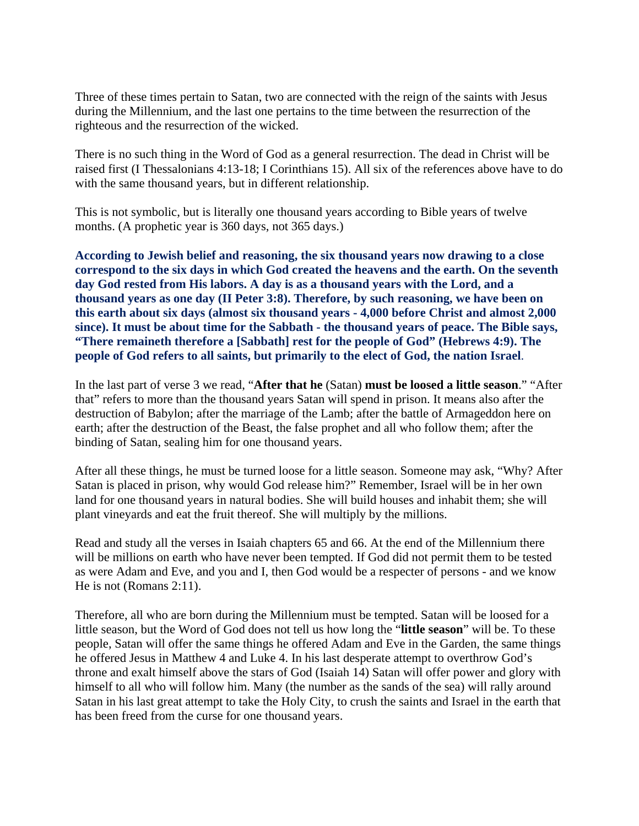Three of these times pertain to Satan, two are connected with the reign of the saints with Jesus during the Millennium, and the last one pertains to the time between the resurrection of the righteous and the resurrection of the wicked.

There is no such thing in the Word of God as a general resurrection. The dead in Christ will be raised first (I Thessalonians 4:13-18; I Corinthians 15). All six of the references above have to do with the same thousand years, but in different relationship.

This is not symbolic, but is literally one thousand years according to Bible years of twelve months. (A prophetic year is 360 days, not 365 days.)

**According to Jewish belief and reasoning, the six thousand years now drawing to a close correspond to the six days in which God created the heavens and the earth. On the seventh day God rested from His labors. A day is as a thousand years with the Lord, and a thousand years as one day (II Peter 3:8). Therefore, by such reasoning, we have been on this earth about six days (almost six thousand years - 4,000 before Christ and almost 2,000 since). It must be about time for the Sabbath - the thousand years of peace. The Bible says, "There remaineth therefore a [Sabbath] rest for the people of God" (Hebrews 4:9). The people of God refers to all saints, but primarily to the elect of God, the nation Israel**.

In the last part of verse 3 we read, "**After that he** (Satan) **must be loosed a little season**." "After that" refers to more than the thousand years Satan will spend in prison. It means also after the destruction of Babylon; after the marriage of the Lamb; after the battle of Armageddon here on earth; after the destruction of the Beast, the false prophet and all who follow them; after the binding of Satan, sealing him for one thousand years.

After all these things, he must be turned loose for a little season. Someone may ask, "Why? After Satan is placed in prison, why would God release him?" Remember, Israel will be in her own land for one thousand years in natural bodies. She will build houses and inhabit them; she will plant vineyards and eat the fruit thereof. She will multiply by the millions.

Read and study all the verses in Isaiah chapters 65 and 66. At the end of the Millennium there will be millions on earth who have never been tempted. If God did not permit them to be tested as were Adam and Eve, and you and I, then God would be a respecter of persons - and we know He is not (Romans 2:11).

Therefore, all who are born during the Millennium must be tempted. Satan will be loosed for a little season, but the Word of God does not tell us how long the "**little season**" will be. To these people, Satan will offer the same things he offered Adam and Eve in the Garden, the same things he offered Jesus in Matthew 4 and Luke 4. In his last desperate attempt to overthrow God's throne and exalt himself above the stars of God (Isaiah 14) Satan will offer power and glory with himself to all who will follow him. Many (the number as the sands of the sea) will rally around Satan in his last great attempt to take the Holy City, to crush the saints and Israel in the earth that has been freed from the curse for one thousand years.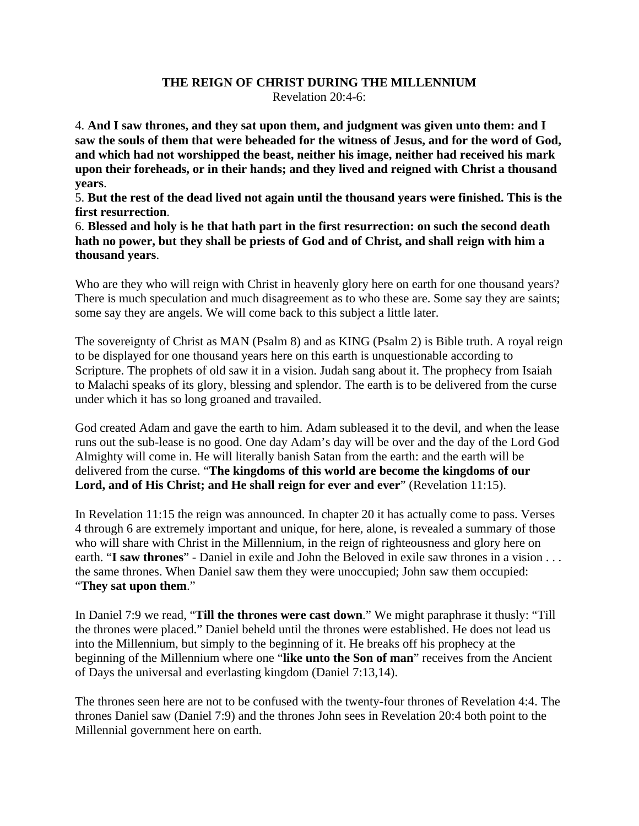#### **THE REIGN OF CHRIST DURING THE MILLENNIUM** Revelation 20:4-6:

4. **And I saw thrones, and they sat upon them, and judgment was given unto them: and I saw the souls of them that were beheaded for the witness of Jesus, and for the word of God, and which had not worshipped the beast, neither his image, neither had received his mark upon their foreheads, or in their hands; and they lived and reigned with Christ a thousand years**.

5. **But the rest of the dead lived not again until the thousand years were finished. This is the first resurrection**.

6. **Blessed and holy is he that hath part in the first resurrection: on such the second death hath no power, but they shall be priests of God and of Christ, and shall reign with him a thousand years**.

Who are they who will reign with Christ in heavenly glory here on earth for one thousand years? There is much speculation and much disagreement as to who these are. Some say they are saints; some say they are angels. We will come back to this subject a little later.

The sovereignty of Christ as MAN (Psalm 8) and as KING (Psalm 2) is Bible truth. A royal reign to be displayed for one thousand years here on this earth is unquestionable according to Scripture. The prophets of old saw it in a vision. Judah sang about it. The prophecy from Isaiah to Malachi speaks of its glory, blessing and splendor. The earth is to be delivered from the curse under which it has so long groaned and travailed.

God created Adam and gave the earth to him. Adam subleased it to the devil, and when the lease runs out the sub-lease is no good. One day Adam's day will be over and the day of the Lord God Almighty will come in. He will literally banish Satan from the earth: and the earth will be delivered from the curse. "**The kingdoms of this world are become the kingdoms of our Lord, and of His Christ; and He shall reign for ever and ever**" (Revelation 11:15).

In Revelation 11:15 the reign was announced. In chapter 20 it has actually come to pass. Verses 4 through 6 are extremely important and unique, for here, alone, is revealed a summary of those who will share with Christ in the Millennium, in the reign of righteousness and glory here on earth. "**I saw thrones**" - Daniel in exile and John the Beloved in exile saw thrones in a vision . . . the same thrones. When Daniel saw them they were unoccupied; John saw them occupied: "**They sat upon them**."

In Daniel 7:9 we read, "**Till the thrones were cast down**." We might paraphrase it thusly: "Till the thrones were placed." Daniel beheld until the thrones were established. He does not lead us into the Millennium, but simply to the beginning of it. He breaks off his prophecy at the beginning of the Millennium where one "**like unto the Son of man**" receives from the Ancient of Days the universal and everlasting kingdom (Daniel 7:13,14).

The thrones seen here are not to be confused with the twenty-four thrones of Revelation 4:4. The thrones Daniel saw (Daniel 7:9) and the thrones John sees in Revelation 20:4 both point to the Millennial government here on earth.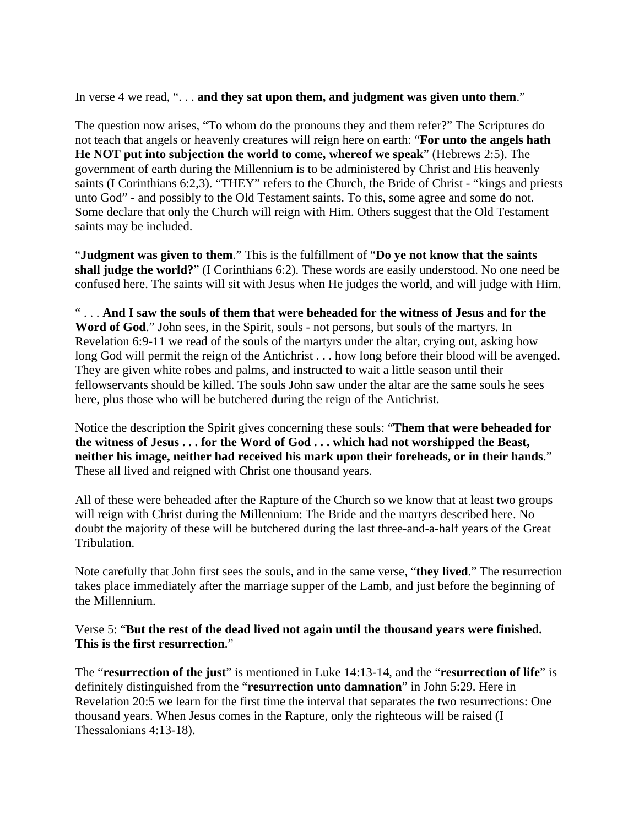In verse 4 we read, ". . . **and they sat upon them, and judgment was given unto them**."

The question now arises, "To whom do the pronouns they and them refer?" The Scriptures do not teach that angels or heavenly creatures will reign here on earth: "**For unto the angels hath He NOT put into subjection the world to come, whereof we speak**" (Hebrews 2:5). The government of earth during the Millennium is to be administered by Christ and His heavenly saints (I Corinthians 6:2,3). "THEY" refers to the Church, the Bride of Christ - "kings and priests unto God" - and possibly to the Old Testament saints. To this, some agree and some do not. Some declare that only the Church will reign with Him. Others suggest that the Old Testament saints may be included.

"**Judgment was given to them**." This is the fulfillment of "**Do ye not know that the saints shall judge the world?**" (I Corinthians 6:2). These words are easily understood. No one need be confused here. The saints will sit with Jesus when He judges the world, and will judge with Him.

" . . . **And I saw the souls of them that were beheaded for the witness of Jesus and for the Word of God**." John sees, in the Spirit, souls - not persons, but souls of the martyrs. In Revelation 6:9-11 we read of the souls of the martyrs under the altar, crying out, asking how long God will permit the reign of the Antichrist . . . how long before their blood will be avenged. They are given white robes and palms, and instructed to wait a little season until their fellowservants should be killed. The souls John saw under the altar are the same souls he sees here, plus those who will be butchered during the reign of the Antichrist.

Notice the description the Spirit gives concerning these souls: "**Them that were beheaded for the witness of Jesus . . . for the Word of God . . . which had not worshipped the Beast, neither his image, neither had received his mark upon their foreheads, or in their hands**." These all lived and reigned with Christ one thousand years.

All of these were beheaded after the Rapture of the Church so we know that at least two groups will reign with Christ during the Millennium: The Bride and the martyrs described here. No doubt the majority of these will be butchered during the last three-and-a-half years of the Great Tribulation.

Note carefully that John first sees the souls, and in the same verse, "**they lived**." The resurrection takes place immediately after the marriage supper of the Lamb, and just before the beginning of the Millennium.

## Verse 5: "**But the rest of the dead lived not again until the thousand years were finished. This is the first resurrection**."

The "**resurrection of the just**" is mentioned in Luke 14:13-14, and the "**resurrection of life**" is definitely distinguished from the "**resurrection unto damnation**" in John 5:29. Here in Revelation 20:5 we learn for the first time the interval that separates the two resurrections: One thousand years. When Jesus comes in the Rapture, only the righteous will be raised (I Thessalonians 4:13-18).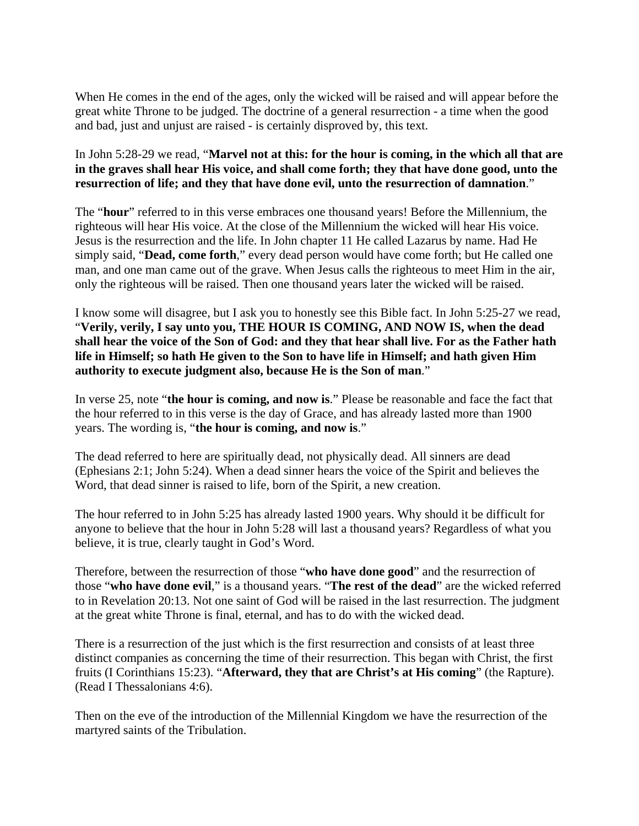When He comes in the end of the ages, only the wicked will be raised and will appear before the great white Throne to be judged. The doctrine of a general resurrection - a time when the good and bad, just and unjust are raised - is certainly disproved by, this text.

# In John 5:28-29 we read, "**Marvel not at this: for the hour is coming, in the which all that are in the graves shall hear His voice, and shall come forth; they that have done good, unto the resurrection of life; and they that have done evil, unto the resurrection of damnation**."

The "**hour**" referred to in this verse embraces one thousand years! Before the Millennium, the righteous will hear His voice. At the close of the Millennium the wicked will hear His voice. Jesus is the resurrection and the life. In John chapter 11 He called Lazarus by name. Had He simply said, "**Dead, come forth**," every dead person would have come forth; but He called one man, and one man came out of the grave. When Jesus calls the righteous to meet Him in the air, only the righteous will be raised. Then one thousand years later the wicked will be raised.

I know some will disagree, but I ask you to honestly see this Bible fact. In John 5:25-27 we read, "**Verily, verily, I say unto you, THE HOUR IS COMING, AND NOW IS, when the dead shall hear the voice of the Son of God: and they that hear shall live. For as the Father hath life in Himself; so hath He given to the Son to have life in Himself; and hath given Him authority to execute judgment also, because He is the Son of man**."

In verse 25, note "**the hour is coming, and now is**." Please be reasonable and face the fact that the hour referred to in this verse is the day of Grace, and has already lasted more than 1900 years. The wording is, "**the hour is coming, and now is**."

The dead referred to here are spiritually dead, not physically dead. All sinners are dead (Ephesians 2:1; John 5:24). When a dead sinner hears the voice of the Spirit and believes the Word, that dead sinner is raised to life, born of the Spirit, a new creation.

The hour referred to in John 5:25 has already lasted 1900 years. Why should it be difficult for anyone to believe that the hour in John 5:28 will last a thousand years? Regardless of what you believe, it is true, clearly taught in God's Word.

Therefore, between the resurrection of those "**who have done good**" and the resurrection of those "**who have done evil**," is a thousand years. "**The rest of the dead**" are the wicked referred to in Revelation 20:13. Not one saint of God will be raised in the last resurrection. The judgment at the great white Throne is final, eternal, and has to do with the wicked dead.

There is a resurrection of the just which is the first resurrection and consists of at least three distinct companies as concerning the time of their resurrection. This began with Christ, the first fruits (I Corinthians 15:23). "**Afterward, they that are Christ's at His coming**" (the Rapture). (Read I Thessalonians 4:6).

Then on the eve of the introduction of the Millennial Kingdom we have the resurrection of the martyred saints of the Tribulation.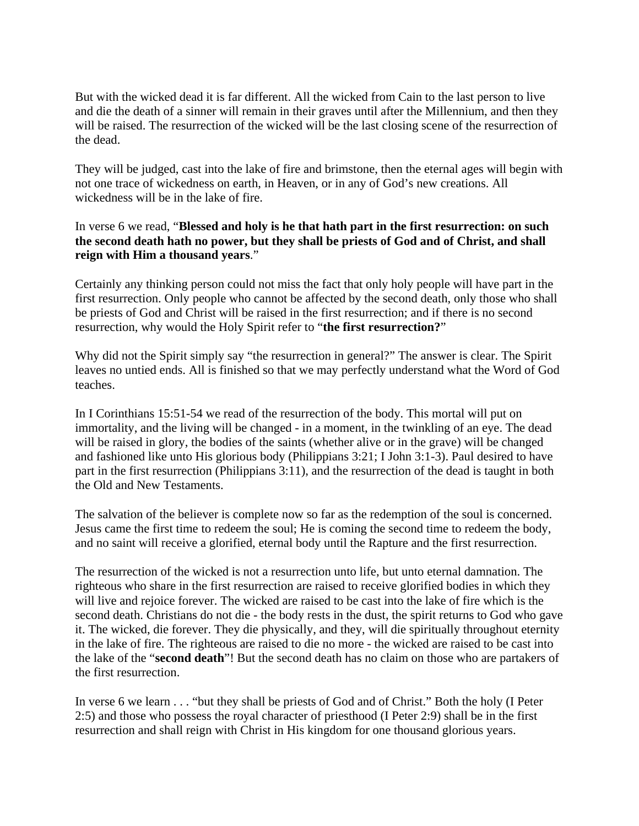But with the wicked dead it is far different. All the wicked from Cain to the last person to live and die the death of a sinner will remain in their graves until after the Millennium, and then they will be raised. The resurrection of the wicked will be the last closing scene of the resurrection of the dead.

They will be judged, cast into the lake of fire and brimstone, then the eternal ages will begin with not one trace of wickedness on earth, in Heaven, or in any of God's new creations. All wickedness will be in the lake of fire.

In verse 6 we read, "**Blessed and holy is he that hath part in the first resurrection: on such the second death hath no power, but they shall be priests of God and of Christ, and shall reign with Him a thousand years**."

Certainly any thinking person could not miss the fact that only holy people will have part in the first resurrection. Only people who cannot be affected by the second death, only those who shall be priests of God and Christ will be raised in the first resurrection; and if there is no second resurrection, why would the Holy Spirit refer to "**the first resurrection?**"

Why did not the Spirit simply say "the resurrection in general?" The answer is clear. The Spirit leaves no untied ends. All is finished so that we may perfectly understand what the Word of God teaches.

In I Corinthians 15:51-54 we read of the resurrection of the body. This mortal will put on immortality, and the living will be changed - in a moment, in the twinkling of an eye. The dead will be raised in glory, the bodies of the saints (whether alive or in the grave) will be changed and fashioned like unto His glorious body (Philippians 3:21; I John 3:1-3). Paul desired to have part in the first resurrection (Philippians 3:11), and the resurrection of the dead is taught in both the Old and New Testaments.

The salvation of the believer is complete now so far as the redemption of the soul is concerned. Jesus came the first time to redeem the soul; He is coming the second time to redeem the body, and no saint will receive a glorified, eternal body until the Rapture and the first resurrection.

The resurrection of the wicked is not a resurrection unto life, but unto eternal damnation. The righteous who share in the first resurrection are raised to receive glorified bodies in which they will live and rejoice forever. The wicked are raised to be cast into the lake of fire which is the second death. Christians do not die - the body rests in the dust, the spirit returns to God who gave it. The wicked, die forever. They die physically, and they, will die spiritually throughout eternity in the lake of fire. The righteous are raised to die no more - the wicked are raised to be cast into the lake of the "**second death**"! But the second death has no claim on those who are partakers of the first resurrection.

In verse 6 we learn . . . "but they shall be priests of God and of Christ." Both the holy (I Peter 2:5) and those who possess the royal character of priesthood (I Peter 2:9) shall be in the first resurrection and shall reign with Christ in His kingdom for one thousand glorious years.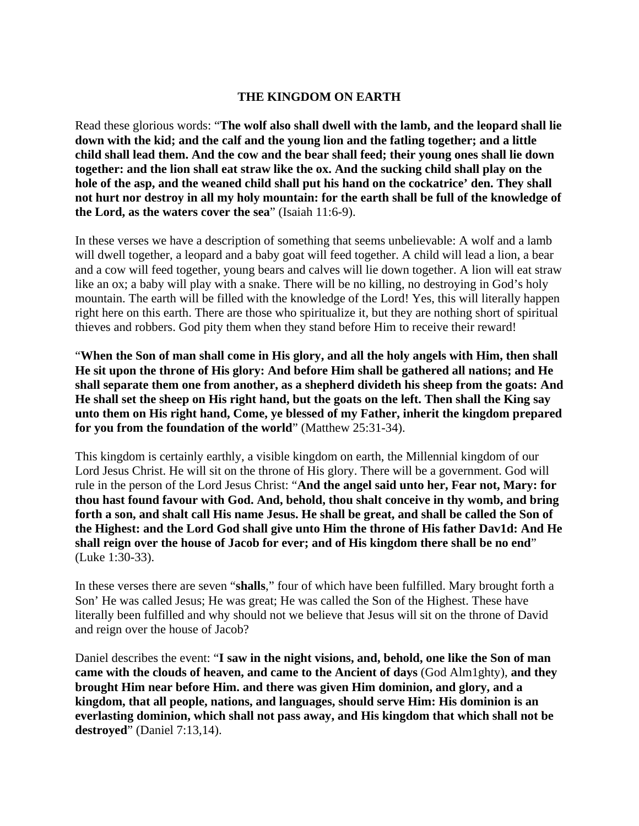### **THE KINGDOM ON EARTH**

Read these glorious words: "**The wolf also shall dwell with the lamb, and the leopard shall lie down with the kid; and the calf and the young lion and the fatling together; and a little child shall lead them. And the cow and the bear shall feed; their young ones shall lie down together: and the lion shall eat straw like the ox. And the sucking child shall play on the hole of the asp, and the weaned child shall put his hand on the cockatrice' den. They shall not hurt nor destroy in all my holy mountain: for the earth shall be full of the knowledge of the Lord, as the waters cover the sea**" (Isaiah 11:6-9).

In these verses we have a description of something that seems unbelievable: A wolf and a lamb will dwell together, a leopard and a baby goat will feed together. A child will lead a lion, a bear and a cow will feed together, young bears and calves will lie down together. A lion will eat straw like an ox; a baby will play with a snake. There will be no killing, no destroying in God's holy mountain. The earth will be filled with the knowledge of the Lord! Yes, this will literally happen right here on this earth. There are those who spiritualize it, but they are nothing short of spiritual thieves and robbers. God pity them when they stand before Him to receive their reward!

"**When the Son of man shall come in His glory, and all the holy angels with Him, then shall He sit upon the throne of His glory: And before Him shall be gathered all nations; and He shall separate them one from another, as a shepherd divideth his sheep from the goats: And He shall set the sheep on His right hand, but the goats on the left. Then shall the King say unto them on His right hand, Come, ye blessed of my Father, inherit the kingdom prepared for you from the foundation of the world**" (Matthew 25:31-34).

This kingdom is certainly earthly, a visible kingdom on earth, the Millennial kingdom of our Lord Jesus Christ. He will sit on the throne of His glory. There will be a government. God will rule in the person of the Lord Jesus Christ: "**And the angel said unto her, Fear not, Mary: for thou hast found favour with God. And, behold, thou shalt conceive in thy womb, and bring forth a son, and shalt call His name Jesus. He shall be great, and shall be called the Son of the Highest: and the Lord God shall give unto Him the throne of His father Dav1d: And He shall reign over the house of Jacob for ever; and of His kingdom there shall be no end**" (Luke 1:30-33).

In these verses there are seven "**shalls**," four of which have been fulfilled. Mary brought forth a Son' He was called Jesus; He was great; He was called the Son of the Highest. These have literally been fulfilled and why should not we believe that Jesus will sit on the throne of David and reign over the house of Jacob?

Daniel describes the event: "**I saw in the night visions, and, behold, one like the Son of man came with the clouds of heaven, and came to the Ancient of days** (God Alm1ghty), **and they brought Him near before Him. and there was given Him dominion, and glory, and a kingdom, that all people, nations, and languages, should serve Him: His dominion is an everlasting dominion, which shall not pass away, and His kingdom that which shall not be destroyed**" (Daniel 7:13,14).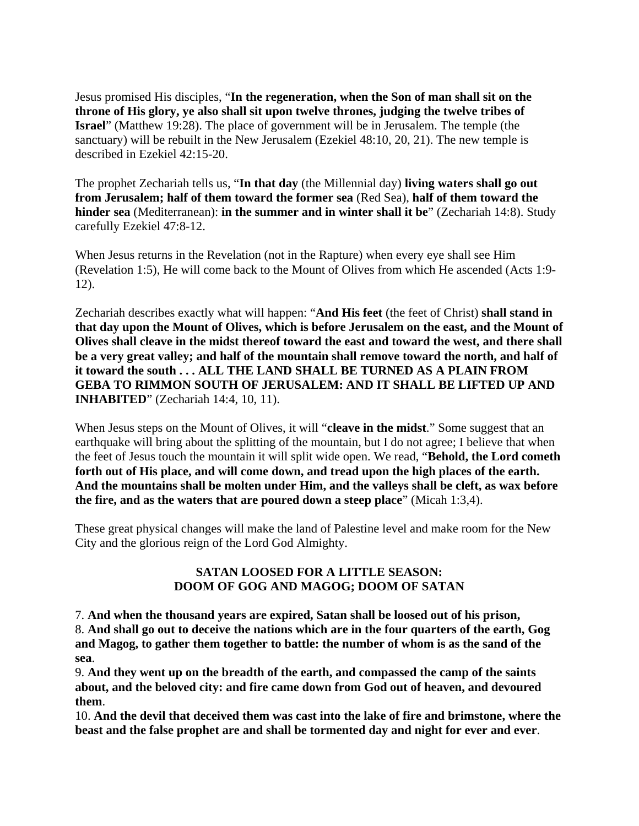Jesus promised His disciples, "**In the regeneration, when the Son of man shall sit on the throne of His glory, ye also shall sit upon twelve thrones, judging the twelve tribes of Israel**" (Matthew 19:28). The place of government will be in Jerusalem. The temple (the sanctuary) will be rebuilt in the New Jerusalem (Ezekiel 48:10, 20, 21). The new temple is described in Ezekiel 42:15-20.

The prophet Zechariah tells us, "**In that day** (the Millennial day) **living waters shall go out from Jerusalem; half of them toward the former sea** (Red Sea), **half of them toward the hinder sea** (Mediterranean): **in the summer and in winter shall it be**" (Zechariah 14:8). Study carefully Ezekiel 47:8-12.

When Jesus returns in the Revelation (not in the Rapture) when every eye shall see Him (Revelation 1:5), He will come back to the Mount of Olives from which He ascended (Acts 1:9- 12).

Zechariah describes exactly what will happen: "**And His feet** (the feet of Christ) **shall stand in that day upon the Mount of Olives, which is before Jerusalem on the east, and the Mount of Olives shall cleave in the midst thereof toward the east and toward the west, and there shall be a very great valley; and half of the mountain shall remove toward the north, and half of it toward the south . . . ALL THE LAND SHALL BE TURNED AS A PLAIN FROM GEBA TO RIMMON SOUTH OF JERUSALEM: AND IT SHALL BE LIFTED UP AND INHABITED**" (Zechariah 14:4, 10, 11).

When Jesus steps on the Mount of Olives, it will "**cleave in the midst**." Some suggest that an earthquake will bring about the splitting of the mountain, but I do not agree; I believe that when the feet of Jesus touch the mountain it will split wide open. We read, "**Behold, the Lord cometh forth out of His place, and will come down, and tread upon the high places of the earth. And the mountains shall be molten under Him, and the valleys shall be cleft, as wax before the fire, and as the waters that are poured down a steep place**" (Micah 1:3,4).

These great physical changes will make the land of Palestine level and make room for the New City and the glorious reign of the Lord God Almighty.

# **SATAN LOOSED FOR A LITTLE SEASON: DOOM OF GOG AND MAGOG; DOOM OF SATAN**

7. **And when the thousand years are expired, Satan shall be loosed out of his prison,** 8. **And shall go out to deceive the nations which are in the four quarters of the earth, Gog and Magog, to gather them together to battle: the number of whom is as the sand of the sea**.

9. **And they went up on the breadth of the earth, and compassed the camp of the saints about, and the beloved city: and fire came down from God out of heaven, and devoured them**.

10. **And the devil that deceived them was cast into the lake of fire and brimstone, where the beast and the false prophet are and shall be tormented day and night for ever and ever**.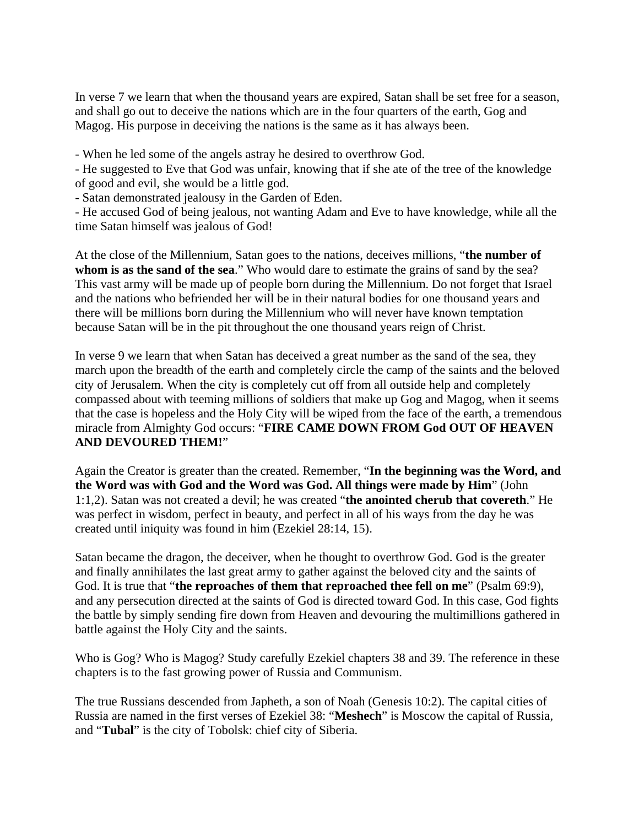In verse 7 we learn that when the thousand years are expired, Satan shall be set free for a season, and shall go out to deceive the nations which are in the four quarters of the earth, Gog and Magog. His purpose in deceiving the nations is the same as it has always been.

- When he led some of the angels astray he desired to overthrow God.

- He suggested to Eve that God was unfair, knowing that if she ate of the tree of the knowledge of good and evil, she would be a little god.

- Satan demonstrated jealousy in the Garden of Eden.

- He accused God of being jealous, not wanting Adam and Eve to have knowledge, while all the time Satan himself was jealous of God!

At the close of the Millennium, Satan goes to the nations, deceives millions, "**the number of whom is as the sand of the sea**." Who would dare to estimate the grains of sand by the sea? This vast army will be made up of people born during the Millennium. Do not forget that Israel and the nations who befriended her will be in their natural bodies for one thousand years and there will be millions born during the Millennium who will never have known temptation because Satan will be in the pit throughout the one thousand years reign of Christ.

In verse 9 we learn that when Satan has deceived a great number as the sand of the sea, they march upon the breadth of the earth and completely circle the camp of the saints and the beloved city of Jerusalem. When the city is completely cut off from all outside help and completely compassed about with teeming millions of soldiers that make up Gog and Magog, when it seems that the case is hopeless and the Holy City will be wiped from the face of the earth, a tremendous miracle from Almighty God occurs: "**FIRE CAME DOWN FROM God OUT OF HEAVEN AND DEVOURED THEM!**"

Again the Creator is greater than the created. Remember, "**In the beginning was the Word, and the Word was with God and the Word was God. All things were made by Him**" (John 1:1,2). Satan was not created a devil; he was created "**the anointed cherub that covereth**." He was perfect in wisdom, perfect in beauty, and perfect in all of his ways from the day he was created until iniquity was found in him (Ezekiel 28:14, 15).

Satan became the dragon, the deceiver, when he thought to overthrow God. God is the greater and finally annihilates the last great army to gather against the beloved city and the saints of God. It is true that "**the reproaches of them that reproached thee fell on me**" (Psalm 69:9), and any persecution directed at the saints of God is directed toward God. In this case, God fights the battle by simply sending fire down from Heaven and devouring the multimillions gathered in battle against the Holy City and the saints.

Who is Gog? Who is Magog? Study carefully Ezekiel chapters 38 and 39. The reference in these chapters is to the fast growing power of Russia and Communism.

The true Russians descended from Japheth, a son of Noah (Genesis 10:2). The capital cities of Russia are named in the first verses of Ezekiel 38: "**Meshech**" is Moscow the capital of Russia, and "**Tubal**" is the city of Tobolsk: chief city of Siberia.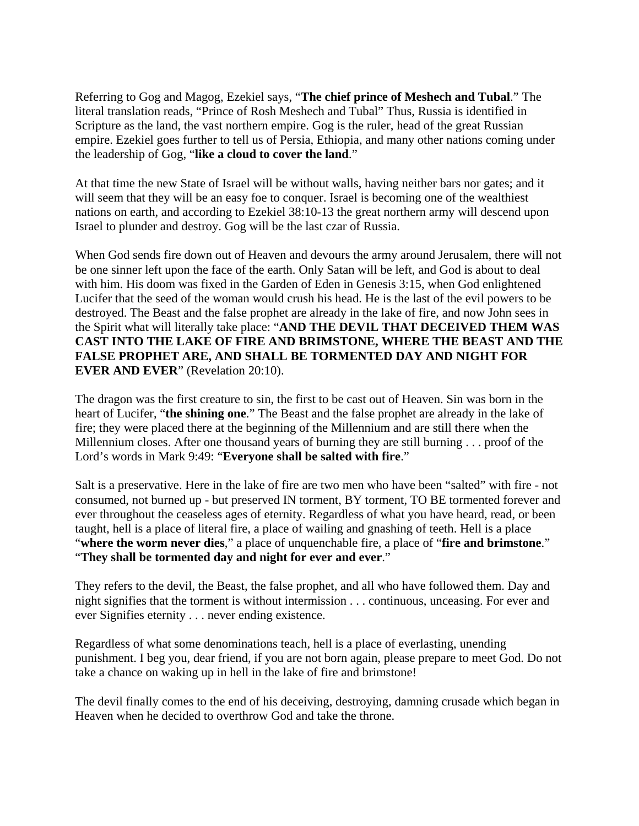Referring to Gog and Magog, Ezekiel says, "**The chief prince of Meshech and Tubal**." The literal translation reads, "Prince of Rosh Meshech and Tubal" Thus, Russia is identified in Scripture as the land, the vast northern empire. Gog is the ruler, head of the great Russian empire. Ezekiel goes further to tell us of Persia, Ethiopia, and many other nations coming under the leadership of Gog, "**like a cloud to cover the land**."

At that time the new State of Israel will be without walls, having neither bars nor gates; and it will seem that they will be an easy foe to conquer. Israel is becoming one of the wealthiest nations on earth, and according to Ezekiel 38:10-13 the great northern army will descend upon Israel to plunder and destroy. Gog will be the last czar of Russia.

When God sends fire down out of Heaven and devours the army around Jerusalem, there will not be one sinner left upon the face of the earth. Only Satan will be left, and God is about to deal with him. His doom was fixed in the Garden of Eden in Genesis 3:15, when God enlightened Lucifer that the seed of the woman would crush his head. He is the last of the evil powers to be destroyed. The Beast and the false prophet are already in the lake of fire, and now John sees in the Spirit what will literally take place: "**AND THE DEVIL THAT DECEIVED THEM WAS CAST INTO THE LAKE OF FIRE AND BRIMSTONE, WHERE THE BEAST AND THE FALSE PROPHET ARE, AND SHALL BE TORMENTED DAY AND NIGHT FOR EVER AND EVER**" (Revelation 20:10).

The dragon was the first creature to sin, the first to be cast out of Heaven. Sin was born in the heart of Lucifer, "**the shining one**." The Beast and the false prophet are already in the lake of fire; they were placed there at the beginning of the Millennium and are still there when the Millennium closes. After one thousand years of burning they are still burning . . . proof of the Lord's words in Mark 9:49: "**Everyone shall be salted with fire**."

Salt is a preservative. Here in the lake of fire are two men who have been "salted" with fire - not consumed, not burned up - but preserved IN torment, BY torment, TO BE tormented forever and ever throughout the ceaseless ages of eternity. Regardless of what you have heard, read, or been taught, hell is a place of literal fire, a place of wailing and gnashing of teeth. Hell is a place "**where the worm never dies**," a place of unquenchable fire, a place of "**fire and brimstone**." "**They shall be tormented day and night for ever and ever**."

They refers to the devil, the Beast, the false prophet, and all who have followed them. Day and night signifies that the torment is without intermission . . . continuous, unceasing. For ever and ever Signifies eternity . . . never ending existence.

Regardless of what some denominations teach, hell is a place of everlasting, unending punishment. I beg you, dear friend, if you are not born again, please prepare to meet God. Do not take a chance on waking up in hell in the lake of fire and brimstone!

The devil finally comes to the end of his deceiving, destroying, damning crusade which began in Heaven when he decided to overthrow God and take the throne.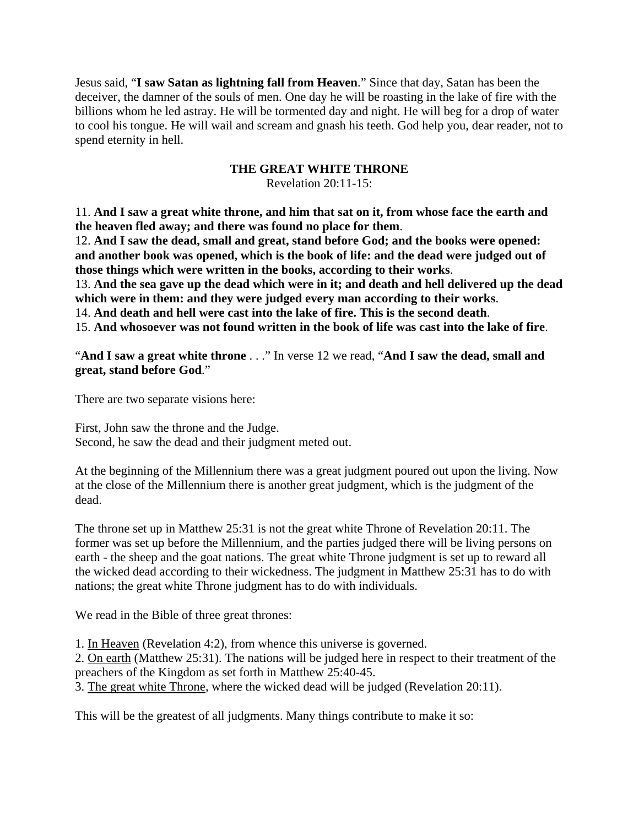Jesus said, "**I saw Satan as lightning fall from Heaven**." Since that day, Satan has been the deceiver, the damner of the souls of men. One day he will be roasting in the lake of fire with the billions whom he led astray. He will be tormented day and night. He will beg for a drop of water to cool his tongue. He will wail and scream and gnash his teeth. God help you, dear reader, not to spend eternity in hell.

# **THE GREAT WHITE THRONE**

Revelation 20:11-15:

11. **And I saw a great white throne, and him that sat on it, from whose face the earth and the heaven fled away; and there was found no place for them**.

12. **And I saw the dead, small and great, stand before God; and the books were opened: and another book was opened, which is the book of life: and the dead were judged out of those things which were written in the books, according to their works**.

13. **And the sea gave up the dead which were in it; and death and hell delivered up the dead which were in them: and they were judged every man according to their works**.

14. **And death and hell were cast into the lake of fire. This is the second death**.

15. **And whosoever was not found written in the book of life was cast into the lake of fire**.

"**And I saw a great white throne** . . ." In verse 12 we read, "**And I saw the dead, small and great, stand before God**."

There are two separate visions here:

First, John saw the throne and the Judge. Second, he saw the dead and their judgment meted out.

At the beginning of the Millennium there was a great judgment poured out upon the living. Now at the close of the Millennium there is another great judgment, which is the judgment of the dead.

The throne set up in Matthew 25:31 is not the great white Throne of Revelation 20:11. The former was set up before the Millennium, and the parties judged there will be living persons on earth - the sheep and the goat nations. The great white Throne judgment is set up to reward all the wicked dead according to their wickedness. The judgment in Matthew 25:31 has to do with nations; the great white Throne judgment has to do with individuals.

We read in the Bible of three great thrones:

1. In Heaven (Revelation 4:2), from whence this universe is governed.

2. On earth (Matthew 25:31). The nations will be judged here in respect to their treatment of the preachers of the Kingdom as set forth in Matthew 25:40-45.

3. The great white Throne, where the wicked dead will be judged (Revelation 20:11).

This will be the greatest of all judgments. Many things contribute to make it so: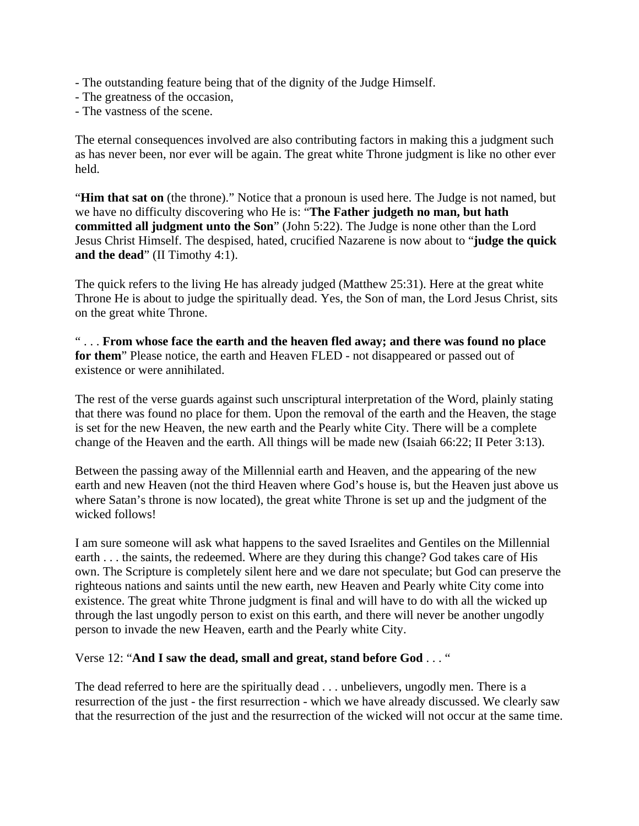- The outstanding feature being that of the dignity of the Judge Himself.
- The greatness of the occasion,
- The vastness of the scene.

The eternal consequences involved are also contributing factors in making this a judgment such as has never been, nor ever will be again. The great white Throne judgment is like no other ever held.

"**Him that sat on** (the throne)." Notice that a pronoun is used here. The Judge is not named, but we have no difficulty discovering who He is: "**The Father judgeth no man, but hath committed all judgment unto the Son**" (John 5:22). The Judge is none other than the Lord Jesus Christ Himself. The despised, hated, crucified Nazarene is now about to "**judge the quick and the dead**" (II Timothy 4:1).

The quick refers to the living He has already judged (Matthew 25:31). Here at the great white Throne He is about to judge the spiritually dead. Yes, the Son of man, the Lord Jesus Christ, sits on the great white Throne.

" . . . **From whose face the earth and the heaven fled away; and there was found no place for them**" Please notice, the earth and Heaven FLED - not disappeared or passed out of existence or were annihilated.

The rest of the verse guards against such unscriptural interpretation of the Word, plainly stating that there was found no place for them. Upon the removal of the earth and the Heaven, the stage is set for the new Heaven, the new earth and the Pearly white City. There will be a complete change of the Heaven and the earth. All things will be made new (Isaiah 66:22; II Peter 3:13).

Between the passing away of the Millennial earth and Heaven, and the appearing of the new earth and new Heaven (not the third Heaven where God's house is, but the Heaven just above us where Satan's throne is now located), the great white Throne is set up and the judgment of the wicked follows!

I am sure someone will ask what happens to the saved Israelites and Gentiles on the Millennial earth . . . the saints, the redeemed. Where are they during this change? God takes care of His own. The Scripture is completely silent here and we dare not speculate; but God can preserve the righteous nations and saints until the new earth, new Heaven and Pearly white City come into existence. The great white Throne judgment is final and will have to do with all the wicked up through the last ungodly person to exist on this earth, and there will never be another ungodly person to invade the new Heaven, earth and the Pearly white City.

### Verse 12: "**And I saw the dead, small and great, stand before God** . . . "

The dead referred to here are the spiritually dead . . . unbelievers, ungodly men. There is a resurrection of the just - the first resurrection - which we have already discussed. We clearly saw that the resurrection of the just and the resurrection of the wicked will not occur at the same time.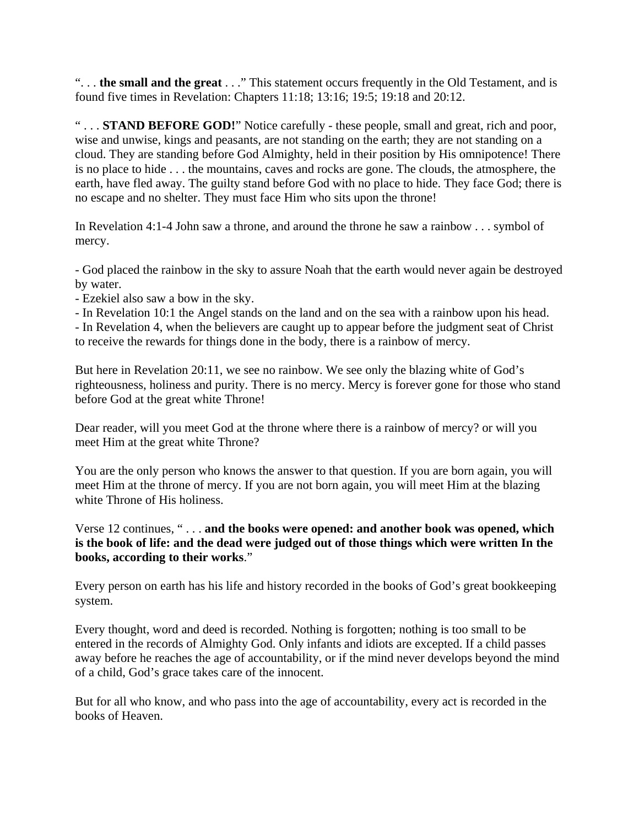". . . **the small and the great** . . ." This statement occurs frequently in the Old Testament, and is found five times in Revelation: Chapters 11:18; 13:16; 19:5; 19:18 and 20:12.

" . . . **STAND BEFORE GOD!**" Notice carefully - these people, small and great, rich and poor, wise and unwise, kings and peasants, are not standing on the earth; they are not standing on a cloud. They are standing before God Almighty, held in their position by His omnipotence! There is no place to hide . . . the mountains, caves and rocks are gone. The clouds, the atmosphere, the earth, have fled away. The guilty stand before God with no place to hide. They face God; there is no escape and no shelter. They must face Him who sits upon the throne!

In Revelation 4:1-4 John saw a throne, and around the throne he saw a rainbow . . . symbol of mercy.

- God placed the rainbow in the sky to assure Noah that the earth would never again be destroyed by water.

- Ezekiel also saw a bow in the sky.

- In Revelation 10:1 the Angel stands on the land and on the sea with a rainbow upon his head. - In Revelation 4, when the believers are caught up to appear before the judgment seat of Christ to receive the rewards for things done in the body, there is a rainbow of mercy.

But here in Revelation 20:11, we see no rainbow. We see only the blazing white of God's righteousness, holiness and purity. There is no mercy. Mercy is forever gone for those who stand before God at the great white Throne!

Dear reader, will you meet God at the throne where there is a rainbow of mercy? or will you meet Him at the great white Throne?

You are the only person who knows the answer to that question. If you are born again, you will meet Him at the throne of mercy. If you are not born again, you will meet Him at the blazing white Throne of His holiness.

Verse 12 continues, " . . . **and the books were opened: and another book was opened, which is the book of life: and the dead were judged out of those things which were written In the books, according to their works**."

Every person on earth has his life and history recorded in the books of God's great bookkeeping system.

Every thought, word and deed is recorded. Nothing is forgotten; nothing is too small to be entered in the records of Almighty God. Only infants and idiots are excepted. If a child passes away before he reaches the age of accountability, or if the mind never develops beyond the mind of a child, God's grace takes care of the innocent.

But for all who know, and who pass into the age of accountability, every act is recorded in the books of Heaven.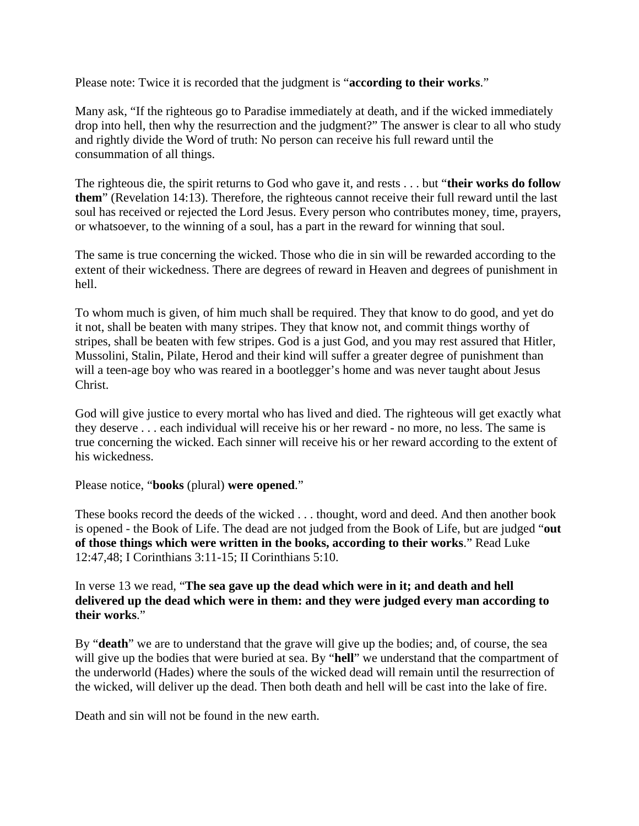Please note: Twice it is recorded that the judgment is "**according to their works**."

Many ask, "If the righteous go to Paradise immediately at death, and if the wicked immediately drop into hell, then why the resurrection and the judgment?" The answer is clear to all who study and rightly divide the Word of truth: No person can receive his full reward until the consummation of all things.

The righteous die, the spirit returns to God who gave it, and rests . . . but "**their works do follow them**" (Revelation 14:13). Therefore, the righteous cannot receive their full reward until the last soul has received or rejected the Lord Jesus. Every person who contributes money, time, prayers, or whatsoever, to the winning of a soul, has a part in the reward for winning that soul.

The same is true concerning the wicked. Those who die in sin will be rewarded according to the extent of their wickedness. There are degrees of reward in Heaven and degrees of punishment in hell.

To whom much is given, of him much shall be required. They that know to do good, and yet do it not, shall be beaten with many stripes. They that know not, and commit things worthy of stripes, shall be beaten with few stripes. God is a just God, and you may rest assured that Hitler, Mussolini, Stalin, Pilate, Herod and their kind will suffer a greater degree of punishment than will a teen-age boy who was reared in a bootlegger's home and was never taught about Jesus Christ.

God will give justice to every mortal who has lived and died. The righteous will get exactly what they deserve . . . each individual will receive his or her reward - no more, no less. The same is true concerning the wicked. Each sinner will receive his or her reward according to the extent of his wickedness.

Please notice, "**books** (plural) **were opened**."

These books record the deeds of the wicked . . . thought, word and deed. And then another book is opened - the Book of Life. The dead are not judged from the Book of Life, but are judged "**out of those things which were written in the books, according to their works**." Read Luke 12:47,48; I Corinthians 3:11-15; II Corinthians 5:10.

In verse 13 we read, "**The sea gave up the dead which were in it; and death and hell delivered up the dead which were in them: and they were judged every man according to their works**."

By "**death**" we are to understand that the grave will give up the bodies; and, of course, the sea will give up the bodies that were buried at sea. By "**hell**" we understand that the compartment of the underworld (Hades) where the souls of the wicked dead will remain until the resurrection of the wicked, will deliver up the dead. Then both death and hell will be cast into the lake of fire.

Death and sin will not be found in the new earth.